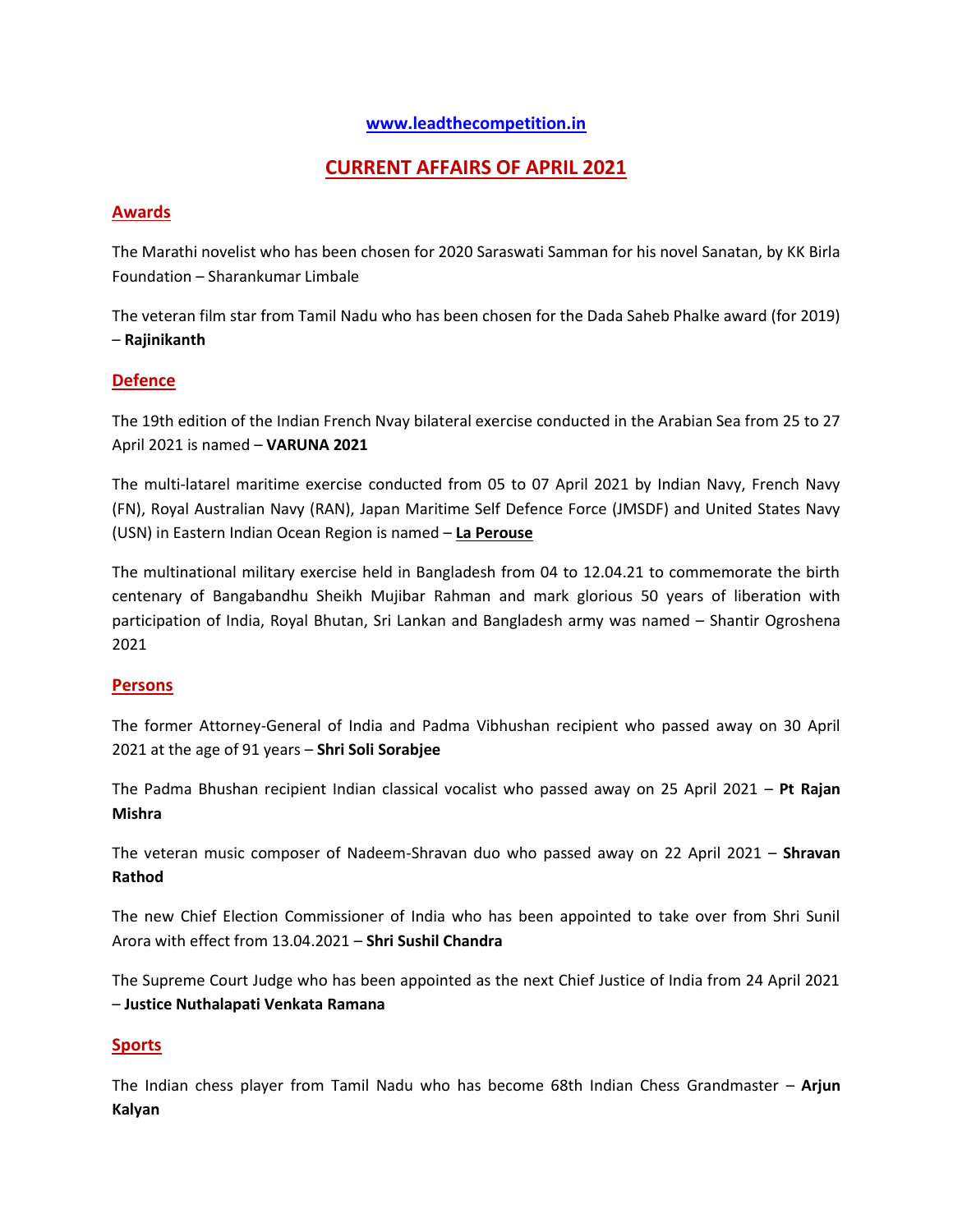# **[www.leadthecompetition.in](http://www.leadthecompetition.in/)**

# **CURRENT AFFAIRS OF APRIL 2021**

# **Awards**

The Marathi novelist who has been chosen for 2020 Saraswati Samman for his novel Sanatan, by KK Birla Foundation – Sharankumar Limbale

The veteran film star from Tamil Nadu who has been chosen for the Dada Saheb Phalke award (for 2019) – **Rajinikanth**

# **Defence**

The 19th edition of the Indian French Nvay bilateral exercise conducted in the Arabian Sea from 25 to 27 April 2021 is named – **VARUNA 2021**

The multi-latarel maritime exercise conducted from 05 to 07 April 2021 by Indian Navy, French Navy (FN), Royal Australian Navy (RAN), Japan Maritime Self Defence Force (JMSDF) and United States Navy (USN) in Eastern Indian Ocean Region is named – **La Perouse**

The multinational military exercise held in Bangladesh from 04 to 12.04.21 to commemorate the birth centenary of Bangabandhu Sheikh Mujibar Rahman and mark glorious 50 years of liberation with participation of India, Royal Bhutan, Sri Lankan and Bangladesh army was named – Shantir Ogroshena 2021

## **Persons**

The former Attorney-General of India and Padma Vibhushan recipient who passed away on 30 April 2021 at the age of 91 years – **Shri Soli Sorabjee**

The Padma Bhushan recipient Indian classical vocalist who passed away on 25 April 2021 – **Pt Rajan Mishra**

The veteran music composer of Nadeem-Shravan duo who passed away on 22 April 2021 – **Shravan Rathod**

The new Chief Election Commissioner of India who has been appointed to take over from Shri Sunil Arora with effect from 13.04.2021 – **Shri Sushil Chandra**

The Supreme Court Judge who has been appointed as the next Chief Justice of India from 24 April 2021 – **Justice Nuthalapati Venkata Ramana**

## **Sports**

The Indian chess player from Tamil Nadu who has become 68th Indian Chess Grandmaster – **Arjun Kalyan**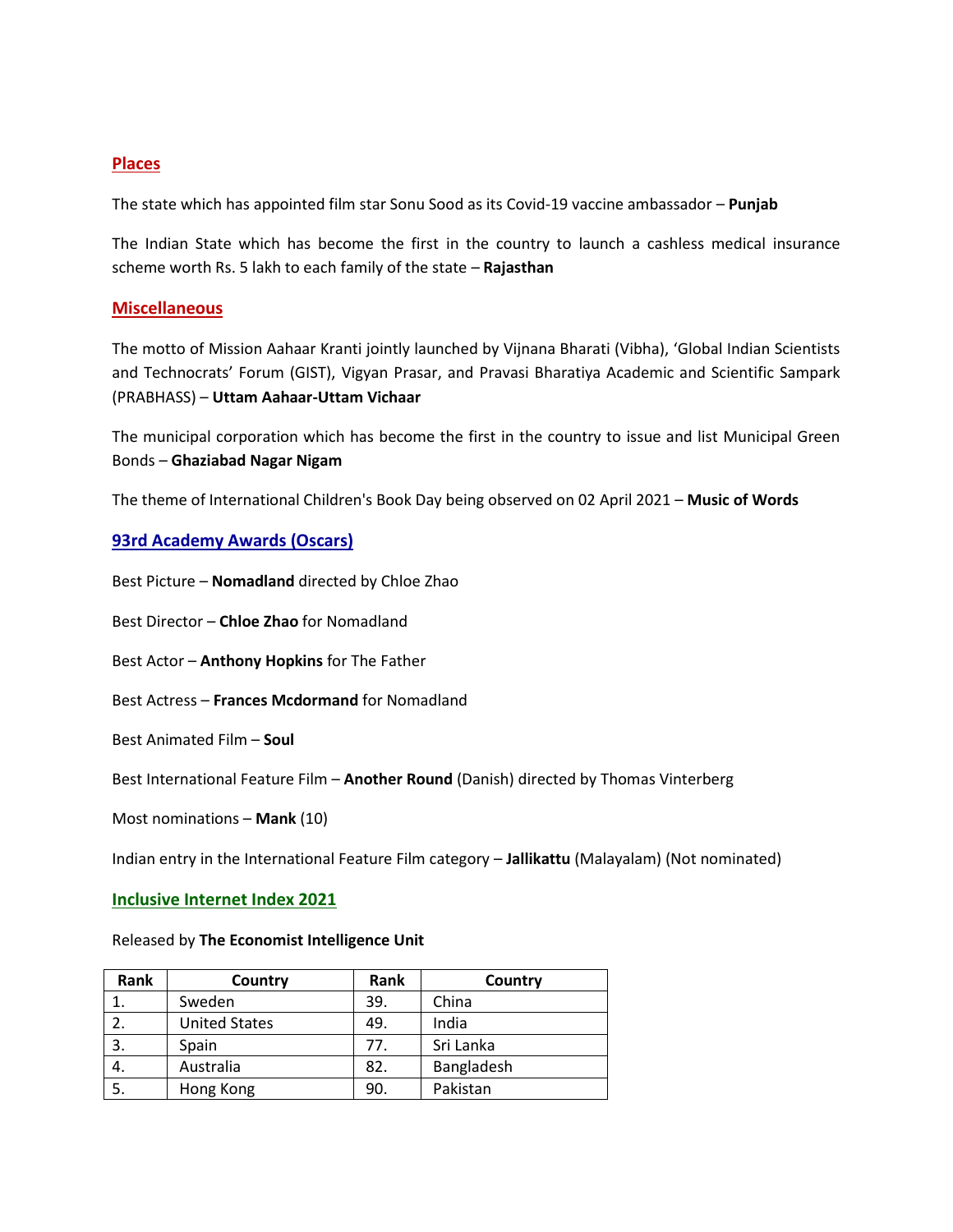# **Places**

The state which has appointed film star Sonu Sood as its Covid-19 vaccine ambassador – **Punjab**

The Indian State which has become the first in the country to launch a cashless medical insurance scheme worth Rs. 5 lakh to each family of the state – **Rajasthan**

## **Miscellaneous**

The motto of Mission Aahaar Kranti jointly launched by Vijnana Bharati (Vibha), 'Global Indian Scientists and Technocrats' Forum (GIST), Vigyan Prasar, and Pravasi Bharatiya Academic and Scientific Sampark (PRABHASS) – **Uttam Aahaar-Uttam Vichaar**

The municipal corporation which has become the first in the country to issue and list Municipal Green Bonds – **Ghaziabad Nagar Nigam**

The theme of International Children's Book Day being observed on 02 April 2021 – **Music of Words**

## **93rd Academy Awards (Oscars)**

Best Picture – **Nomadland** directed by Chloe Zhao

Best Director – **Chloe Zhao** for Nomadland

Best Actor – **Anthony Hopkins** for The Father

Best Actress – **Frances Mcdormand** for Nomadland

Best Animated Film – **Soul**

Best International Feature Film – **Another Round** (Danish) directed by Thomas Vinterberg

Most nominations – **Mank** (10)

Indian entry in the International Feature Film category – **Jallikattu** (Malayalam) (Not nominated)

#### **Inclusive Internet Index 2021**

#### Released by **The Economist Intelligence Unit**

| Rank | Country              | Rank | Country    |
|------|----------------------|------|------------|
|      | Sweden               | 39.  | China      |
|      | <b>United States</b> | 49.  | India      |
| 3.   | Spain                | 77.  | Sri Lanka  |
| 4.   | Australia            | 82.  | Bangladesh |
| 5.   | Hong Kong            | 90.  | Pakistan   |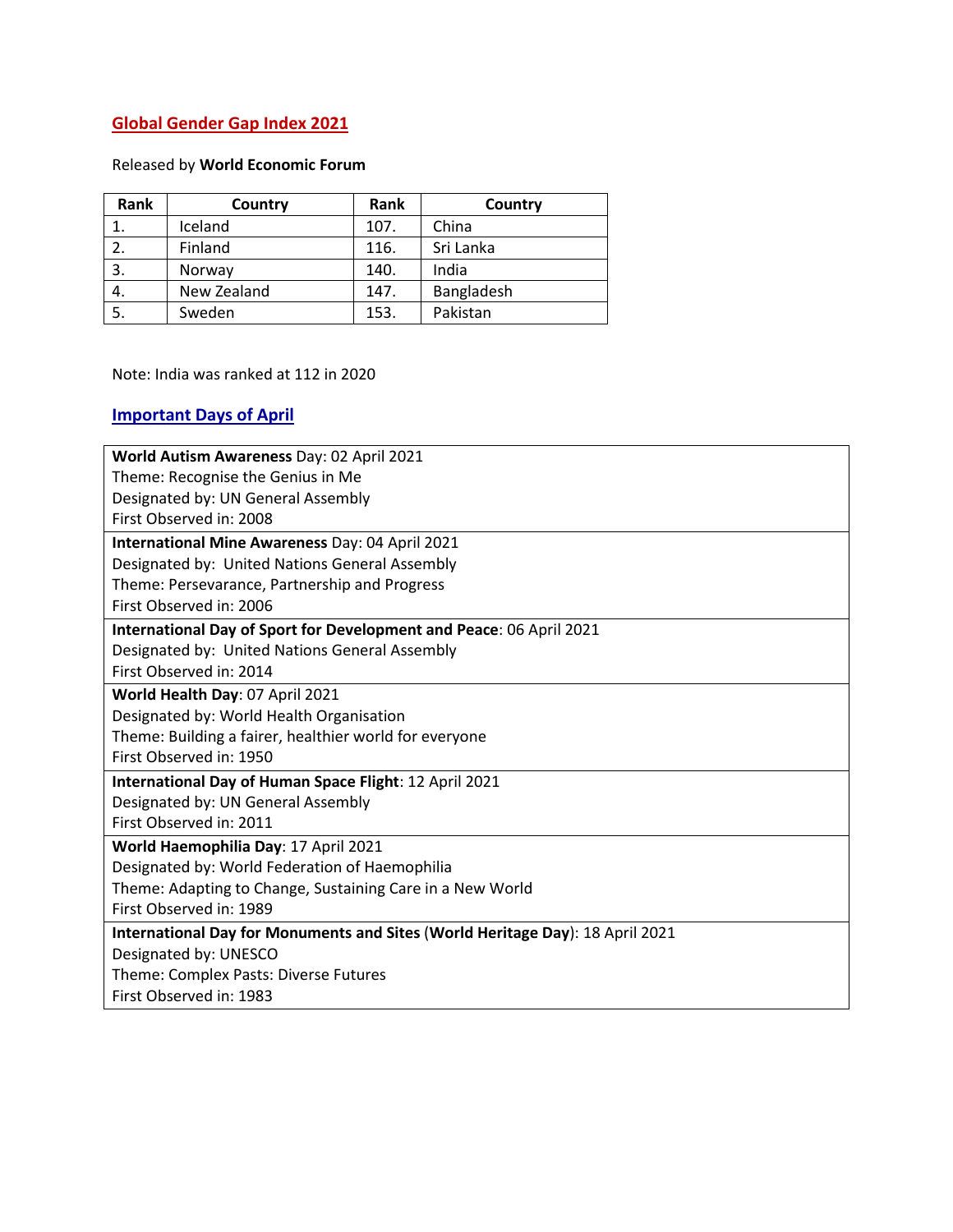# **Global Gender Gap Index 2021**

# Released by **World Economic Forum**

| Rank | Country     | Rank | Country    |
|------|-------------|------|------------|
|      | Iceland     | 107. | China      |
|      | Finland     | 116. | Sri Lanka  |
| 3.   | Norway      | 140. | India      |
| 4.   | New Zealand | 147. | Bangladesh |
| 5.   | Sweden      | 153. | Pakistan   |

Note: India was ranked at 112 in 2020

# **Important Days of April**

| World Autism Awareness Day: 02 April 2021                                     |  |  |  |  |
|-------------------------------------------------------------------------------|--|--|--|--|
| Theme: Recognise the Genius in Me                                             |  |  |  |  |
| Designated by: UN General Assembly                                            |  |  |  |  |
| First Observed in: 2008                                                       |  |  |  |  |
| International Mine Awareness Day: 04 April 2021                               |  |  |  |  |
| Designated by: United Nations General Assembly                                |  |  |  |  |
| Theme: Persevarance, Partnership and Progress                                 |  |  |  |  |
| First Observed in: 2006                                                       |  |  |  |  |
| International Day of Sport for Development and Peace: 06 April 2021           |  |  |  |  |
| Designated by: United Nations General Assembly                                |  |  |  |  |
| First Observed in: 2014                                                       |  |  |  |  |
| World Health Day: 07 April 2021                                               |  |  |  |  |
| Designated by: World Health Organisation                                      |  |  |  |  |
| Theme: Building a fairer, healthier world for everyone                        |  |  |  |  |
| First Observed in: 1950                                                       |  |  |  |  |
| International Day of Human Space Flight: 12 April 2021                        |  |  |  |  |
| Designated by: UN General Assembly                                            |  |  |  |  |
| First Observed in: 2011                                                       |  |  |  |  |
| World Haemophilia Day: 17 April 2021                                          |  |  |  |  |
| Designated by: World Federation of Haemophilia                                |  |  |  |  |
| Theme: Adapting to Change, Sustaining Care in a New World                     |  |  |  |  |
| First Observed in: 1989                                                       |  |  |  |  |
| International Day for Monuments and Sites (World Heritage Day): 18 April 2021 |  |  |  |  |
| Designated by: UNESCO                                                         |  |  |  |  |
| Theme: Complex Pasts: Diverse Futures                                         |  |  |  |  |
| First Observed in: 1983                                                       |  |  |  |  |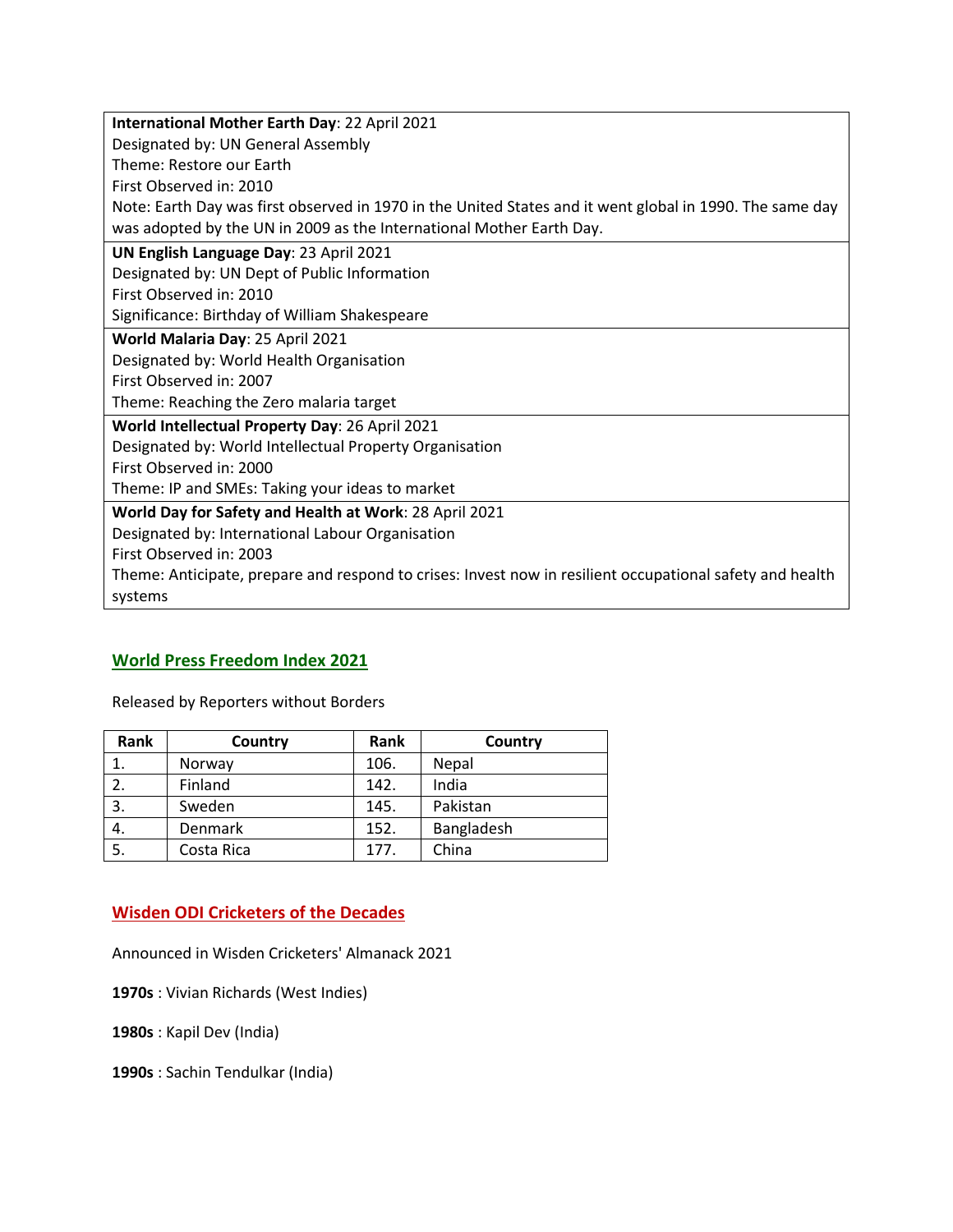| International Mother Earth Day: 22 April 2021                                                            |  |  |  |  |
|----------------------------------------------------------------------------------------------------------|--|--|--|--|
| Designated by: UN General Assembly                                                                       |  |  |  |  |
| Theme: Restore our Earth                                                                                 |  |  |  |  |
| First Observed in: 2010                                                                                  |  |  |  |  |
| Note: Earth Day was first observed in 1970 in the United States and it went global in 1990. The same day |  |  |  |  |
| was adopted by the UN in 2009 as the International Mother Earth Day.                                     |  |  |  |  |
| UN English Language Day: 23 April 2021                                                                   |  |  |  |  |
| Designated by: UN Dept of Public Information                                                             |  |  |  |  |
| First Observed in: 2010                                                                                  |  |  |  |  |
| Significance: Birthday of William Shakespeare                                                            |  |  |  |  |
| World Malaria Day: 25 April 2021                                                                         |  |  |  |  |
| Designated by: World Health Organisation                                                                 |  |  |  |  |
| First Observed in: 2007                                                                                  |  |  |  |  |
| Theme: Reaching the Zero malaria target                                                                  |  |  |  |  |
| World Intellectual Property Day: 26 April 2021                                                           |  |  |  |  |
| Designated by: World Intellectual Property Organisation                                                  |  |  |  |  |
| First Observed in: 2000                                                                                  |  |  |  |  |
| Theme: IP and SMEs: Taking your ideas to market                                                          |  |  |  |  |
| World Day for Safety and Health at Work: 28 April 2021                                                   |  |  |  |  |
| Designated by: International Labour Organisation                                                         |  |  |  |  |
| First Observed in: 2003                                                                                  |  |  |  |  |
| Theme: Anticipate, prepare and respond to crises: Invest now in resilient occupational safety and health |  |  |  |  |
| systems                                                                                                  |  |  |  |  |

# **World Press Freedom Index 2021**

Released by Reporters without Borders

| Rank | Country    | Rank | Country      |
|------|------------|------|--------------|
|      | Norway     | 106. | <b>Nepal</b> |
|      | Finland    | 142. | India        |
| 3.   | Sweden     | 145. | Pakistan     |
| 4.   | Denmark    | 152. | Bangladesh   |
| 5.   | Costa Rica | 177. | China        |

# **Wisden ODI Cricketers of the Decades**

Announced in Wisden Cricketers' Almanack 2021

**1970s** : Vivian Richards (West Indies)

**1980s** : Kapil Dev (India)

**1990s** : Sachin Tendulkar (India)